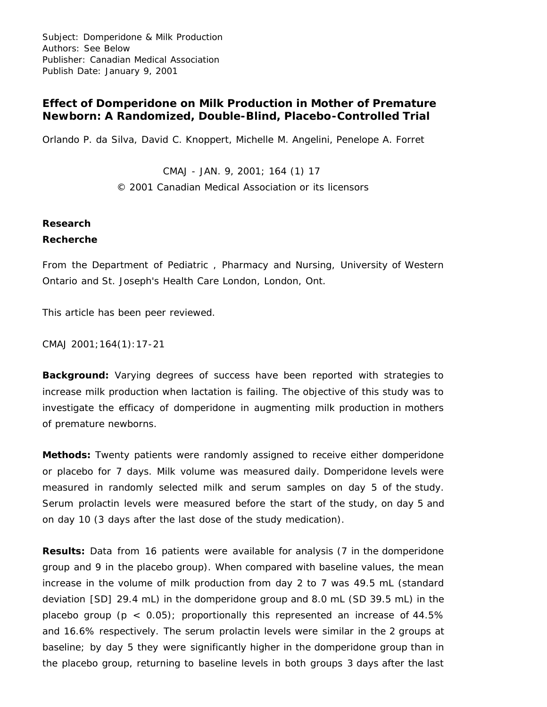Subject: Domperidone & Milk Production Authors: See Below Publisher: Canadian Medical Association Publish Date: January 9, 2001

## **Effect of Domperidone on Milk Production in Mother of Premature Newborn: A Randomized, Double-Blind, Placebo-Controlled Trial**

Orlando P. da Silva, David C. Knoppert, Michelle M. Angelini, Penelope A. Forret

CMAJ - JAN. 9, 2001; 164 (1) 17 © 2001 Canadian Medical Association or its licensors

#### **Research**

### **Recherche**

From the Department of Pediatric , Pharmacy and Nursing, University of Western Ontario and St. Joseph's Health Care London, London, Ont.

This article has been peer reviewed.

CMAJ 2001;164(1):17-21

**Background:** Varying degrees of success have been reported with strategies to increase milk production when lactation is failing. The objective of this study was to investigate the efficacy of domperidone in augmenting milk production in mothers of premature newborns.

**Methods:** Twenty patients were randomly assigned to receive either domperidone or placebo for 7 days. Milk volume was measured daily. Domperidone levels were measured in randomly selected milk and serum samples on day 5 of the study. Serum prolactin levels were measured before the start of the study, on day 5 and on day 10 (3 days after the last dose of the study medication).

**Results:** Data from 16 patients were available for analysis (7 in the domperidone group and 9 in the placebo group). When compared with baseline values, the mean increase in the volume of milk production from day 2 to 7 was 49.5 mL (standard deviation [SD] 29.4 mL) in the domperidone group and 8.0 mL (SD 39.5 mL) in the placebo group ( $p < 0.05$ ); proportionally this represented an increase of 44.5% and 16.6% respectively. The serum prolactin levels were similar in the 2 groups at baseline; by day 5 they were significantly higher in the domperidone group than in the placebo group, returning to baseline levels in both groups 3 days after the last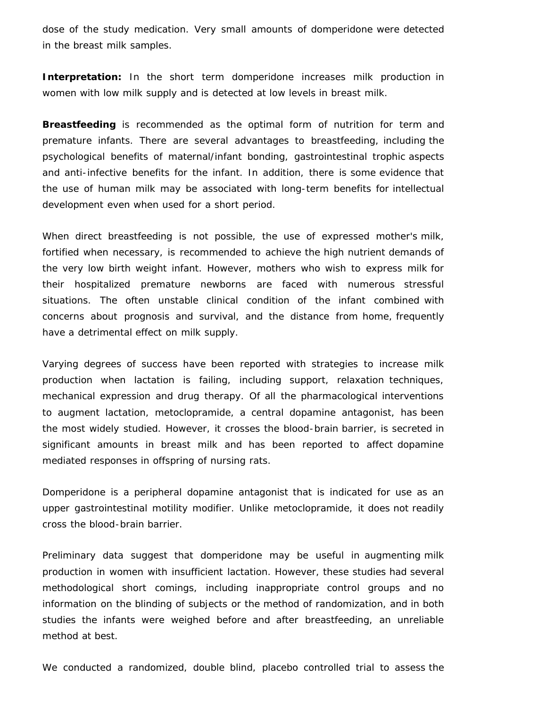dose of the study medication. Very small amounts of domperidone were detected in the breast milk samples.

**Interpretation:** In the short term domperidone increases milk production in women with low milk supply and is detected at low levels in breast milk.

**Breastfeeding** is recommended as the optimal form of nutrition for term and premature infants. There are several advantages to breastfeeding, including the psychological benefits of maternal/infant bonding, gastrointestinal trophic aspects and anti-infective benefits for the infant. In addition, there is some evidence that the use of human milk may be associated with long-term benefits for intellectual development even when used for a short period.

When direct breastfeeding is not possible, the use of expressed mother's milk, fortified when necessary, is recommended to achieve the high nutrient demands of the very low birth weight infant. However, mothers who wish to express milk for their hospitalized premature newborns are faced with numerous stressful situations. The often unstable clinical condition of the infant combined with concerns about prognosis and survival, and the distance from home, frequently have a detrimental effect on milk supply.

Varying degrees of success have been reported with strategies to increase milk production when lactation is failing, including support, relaxation techniques, mechanical expression and drug therapy. Of all the pharmacological interventions to augment lactation, metoclopramide, a central dopamine antagonist, has been the most widely studied. However, it crosses the blood-brain barrier, is secreted in significant amounts in breast milk and has been reported to affect dopamine mediated responses in offspring of nursing rats.

Domperidone is a peripheral dopamine antagonist that is indicated for use as an upper gastrointestinal motility modifier. Unlike metoclopramide, it does not readily cross the blood-brain barrier.

Preliminary data suggest that domperidone may be useful in augmenting milk production in women with insufficient lactation. However, these studies had several methodological short comings, including inappropriate control groups and no information on the blinding of subjects or the method of randomization, and in both studies the infants were weighed before and after breastfeeding, an unreliable method at best.

We conducted a randomized, double blind, placebo controlled trial to assess the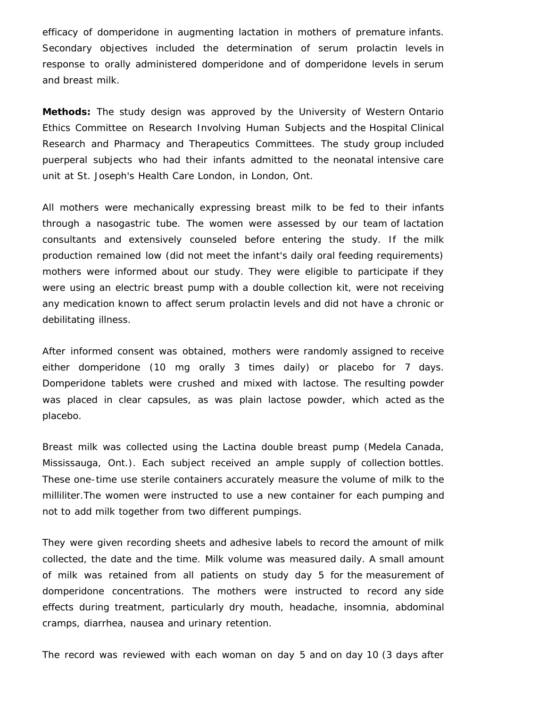efficacy of domperidone in augmenting lactation in mothers of premature infants. Secondary objectives included the determination of serum prolactin levels in response to orally administered domperidone and of domperidone levels in serum and breast milk.

**Methods:** The study design was approved by the University of Western Ontario Ethics Committee on Research Involving Human Subjects and the Hospital Clinical Research and Pharmacy and Therapeutics Committees. The study group included puerperal subjects who had their infants admitted to the neonatal intensive care unit at St. Joseph's Health Care London, in London, Ont.

All mothers were mechanically expressing breast milk to be fed to their infants through a nasogastric tube. The women were assessed by our team of lactation consultants and extensively counseled before entering the study. If the milk production remained low (did not meet the infant's daily oral feeding requirements) mothers were informed about our study. They were eligible to participate if they were using an electric breast pump with a double collection kit, were not receiving any medication known to affect serum prolactin levels and did not have a chronic or debilitating illness.

After informed consent was obtained, mothers were randomly assigned to receive either domperidone (10 mg orally 3 times daily) or placebo for 7 days. Domperidone tablets were crushed and mixed with lactose. The resulting powder was placed in clear capsules, as was plain lactose powder, which acted as the placebo.

Breast milk was collected using the Lactina double breast pump (Medela Canada, Mississauga, Ont.). Each subject received an ample supply of collection bottles. These one-time use sterile containers accurately measure the volume of milk to the milliliter.The women were instructed to use a new container for each pumping and not to add milk together from two different pumpings.

They were given recording sheets and adhesive labels to record the amount of milk collected, the date and the time. Milk volume was measured daily. A small amount of milk was retained from all patients on study day 5 for the measurement of domperidone concentrations. The mothers were instructed to record any side effects during treatment, particularly dry mouth, headache, insomnia, abdominal cramps, diarrhea, nausea and urinary retention.

The record was reviewed with each woman on day 5 and on day 10 (3 days after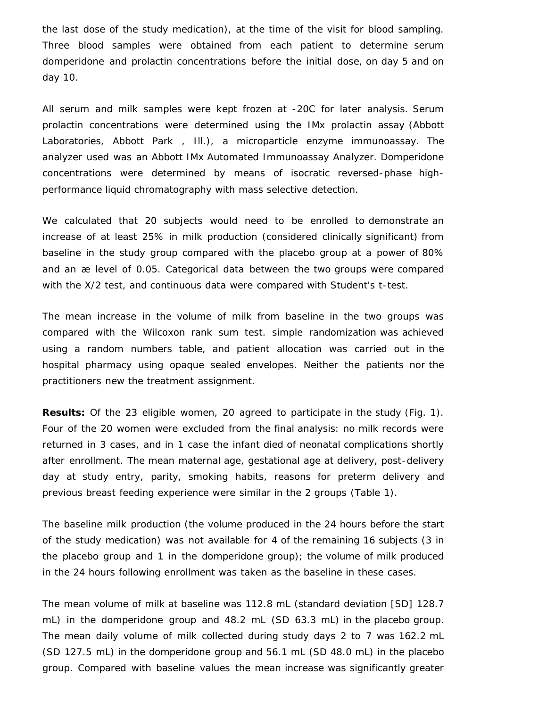the last dose of the study medication), at the time of the visit for blood sampling. Three blood samples were obtained from each patient to determine serum domperidone and prolactin concentrations before the initial dose, on day 5 and on day 10.

All serum and milk samples were kept frozen at -20C for later analysis. Serum prolactin concentrations were determined using the IMx prolactin assay (Abbott Laboratories, Abbott Park , Ill.), a microparticle enzyme immunoassay. The analyzer used was an Abbott IMx Automated Immunoassay Analyzer. Domperidone concentrations were determined by means of isocratic reversed-phase highperformance liquid chromatography with mass selective detection.

We calculated that 20 subjects would need to be enrolled to demonstrate an increase of at least 25% in milk production (considered clinically significant) from baseline in the study group compared with the placebo group at a power of 80% and an æ level of 0.05. Categorical data between the two groups were compared with the X/2 test, and continuous data were compared with Student's *t*-test.

The mean increase in the volume of milk from baseline in the two groups was compared with the Wilcoxon rank sum test. simple randomization was achieved using a random numbers table, and patient allocation was carried out in the hospital pharmacy using opaque sealed envelopes. Neither the patients nor the practitioners new the treatment assignment.

**Results:** Of the 23 eligible women, 20 agreed to participate in the study (Fig. 1). Four of the 20 women were excluded from the final analysis: no milk records were returned in 3 cases, and in 1 case the infant died of neonatal complications shortly after enrollment. The mean maternal age, gestational age at delivery, post-delivery day at study entry, parity, smoking habits, reasons for preterm delivery and previous breast feeding experience were similar in the 2 groups (Table 1).

The baseline milk production (the volume produced in the 24 hours before the start of the study medication) was not available for 4 of the remaining 16 subjects (3 in the placebo group and 1 in the domperidone group); the volume of milk produced in the 24 hours following enrollment was taken as the baseline in these cases.

The mean volume of milk at baseline was 112.8 mL (standard deviation [SD] 128.7 mL) in the domperidone group and 48.2 mL (SD 63.3 mL) in the placebo group. The mean daily volume of milk collected during study days 2 to 7 was 162.2 mL (SD 127.5 mL) in the domperidone group and 56.1 mL (SD 48.0 mL) in the placebo group. Compared with baseline values the mean increase was significantly greater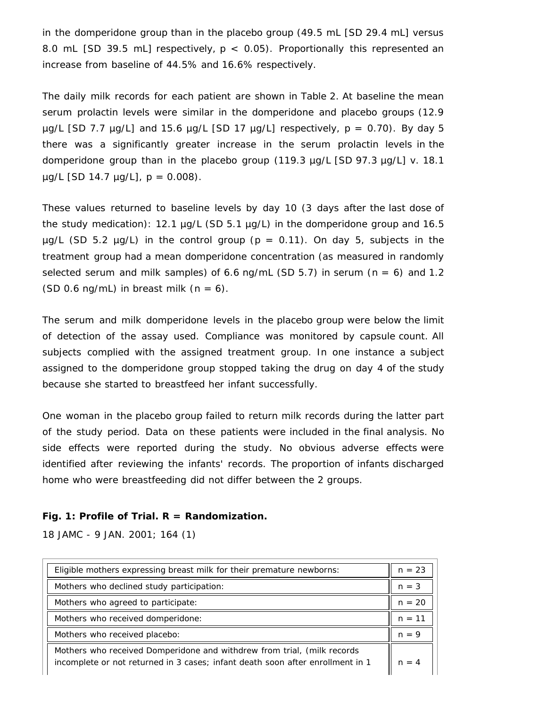in the domperidone group than in the placebo group (49.5 mL [SD 29.4 mL] versus 8.0 mL [SD 39.5 mL] respectively, *p* < 0.05). Proportionally this represented an increase from baseline of 44.5% and 16.6% respectively.

The daily milk records for each patient are shown in Table 2. At baseline the mean serum prolactin levels were similar in the domperidone and placebo groups (12.9 µg/L [SD 7.7 µg/L] and 15.6 µg/L [SD 17 µg/L] respectively, *p* = 0.70). By day 5 there was a significantly greater increase in the serum prolactin levels in the domperidone group than in the placebo group (119.3 µg/L [SD 97.3 µg/L] v. 18.1 µg/L [SD 14.7 µg/L], *p* = 0.008).

These values returned to baseline levels by day 10 (3 days after the last dose of the study medication): 12.1  $\mu$ g/L (SD 5.1  $\mu$ g/L) in the domperidone group and 16.5  $\mu$ g/L (SD 5.2  $\mu$ g/L) in the control group ( $p = 0.11$ ). On day 5, subjects in the treatment group had a mean domperidone concentration (as measured in randomly selected serum and milk samples) of 6.6 ng/mL (SD 5.7) in serum (*n* = 6) and 1.2 (SD 0.6 ng/mL) in breast milk (*n* = 6).

The serum and milk domperidone levels in the placebo group were below the limit of detection of the assay used. Compliance was monitored by capsule count. All subjects complied with the assigned treatment group. In one instance a subject assigned to the domperidone group stopped taking the drug on day 4 of the study because she started to breastfeed her infant successfully.

One woman in the placebo group failed to return milk records during the latter part of the study period. Data on these patients were included in the final analysis. No side effects were reported during the study. No obvious adverse effects were identified after reviewing the infants' records. The proportion of infants discharged home who were breastfeeding did not differ between the 2 groups.

#### **Fig. 1: Profile of Trial. R = Randomization.**

18 JAMC - 9 JAN. 2001; 164 (1)

| Eligible mothers expressing breast milk for their premature newborns:                                                                                     | $n = 23$ |
|-----------------------------------------------------------------------------------------------------------------------------------------------------------|----------|
| Mothers who declined study participation:                                                                                                                 | $n = 3$  |
| Mothers who agreed to participate:                                                                                                                        | $n = 20$ |
| Mothers who received domperidone:                                                                                                                         | $n = 11$ |
| Mothers who received placebo:                                                                                                                             | $n = 9$  |
| Mothers who received Domperidone and withdrew from trial, (milk records<br>incomplete or not returned in 3 cases; infant death soon after enrollment in 1 | $n = 4$  |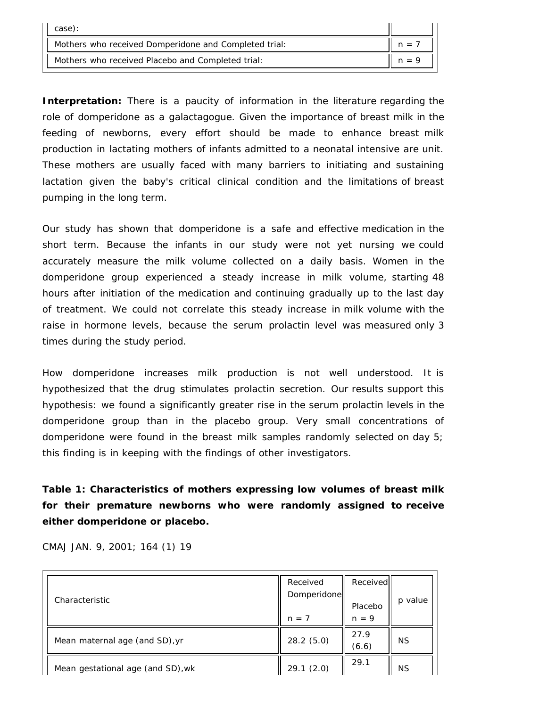| case):                                                |         |
|-------------------------------------------------------|---------|
| Mothers who received Domperidone and Completed trial: |         |
| Mothers who received Placebo and Completed trial:     | $n = 9$ |

**Interpretation:** There is a paucity of information in the literature regarding the role of domperidone as a galactagogue. Given the importance of breast milk in the feeding of newborns, every effort should be made to enhance breast milk production in lactating mothers of infants admitted to a neonatal intensive are unit. These mothers are usually faced with many barriers to initiating and sustaining lactation given the baby's critical clinical condition and the limitations of breast pumping in the long term.

Our study has shown that domperidone is a safe and effective medication in the short term. Because the infants in our study were not yet nursing we could accurately measure the milk volume collected on a daily basis. Women in the domperidone group experienced a steady increase in milk volume, starting 48 hours after initiation of the medication and continuing gradually up to the last day of treatment. We could not correlate this steady increase in milk volume with the raise in hormone levels, because the serum prolactin level was measured only 3 times during the study period.

How domperidone increases milk production is not well understood. It is hypothesized that the drug stimulates prolactin secretion. Our results support this hypothesis: we found a significantly greater rise in the serum prolactin levels in the domperidone group than in the placebo group. Very small concentrations of domperidone were found in the breast milk samples randomly selected on day 5; this finding is in keeping with the findings of other investigators.

**Table 1: Characteristics of mothers expressing low volumes of breast milk for their premature newborns who were randomly assigned to receive either domperidone or placebo.**

|  |  | CMAJ JAN. 9, 2001; 164 (1) 19 |  |
|--|--|-------------------------------|--|
|  |  |                               |  |

| Characteristic                    | Received<br>Domperidone<br>$n = 7$ | Received<br>Placebo<br>$n = 9$ | p value   |
|-----------------------------------|------------------------------------|--------------------------------|-----------|
| Mean maternal age (and SD), yr    | 28.2(5.0)                          | 27.9<br>(6.6)                  | <b>NS</b> |
| Mean gestational age (and SD), wk | 29.1(2.0)                          | 29.1                           | <b>NS</b> |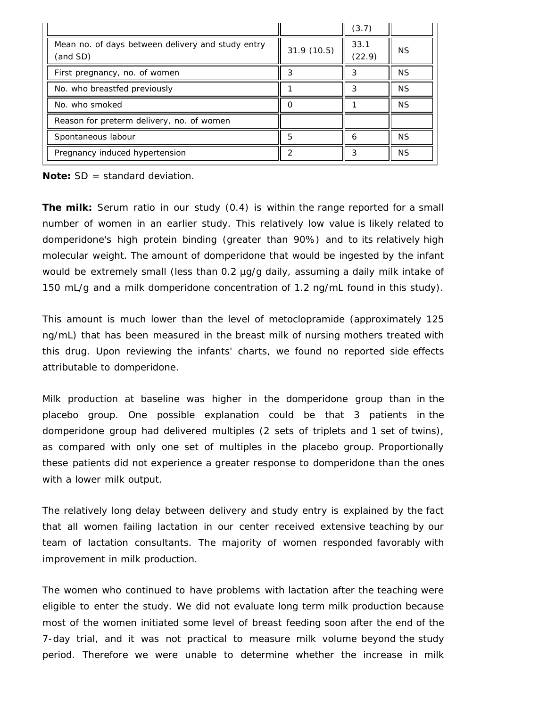|                                                               |            | (3.7)          |           |
|---------------------------------------------------------------|------------|----------------|-----------|
| Mean no. of days between delivery and study entry<br>(and SD) | 31.9(10.5) | 33.1<br>(22.9) | ΝS        |
| First pregnancy, no. of women                                 |            | 3              | ΝS        |
| No. who breastfed previously                                  |            | 3              | <b>NS</b> |
| No. who smoked                                                |            |                | <b>NS</b> |
| Reason for preterm delivery, no. of women                     |            |                |           |
| Spontaneous labour                                            | 5          | h              | ΝS        |
| Pregnancy induced hypertension                                |            | 3              | <b>NS</b> |

**Note:** SD = standard deviation.

**The milk:** Serum ratio in our study (0.4) is within the range reported for a small number of women in an earlier study. This relatively low value is likely related to domperidone's high protein binding (greater than 90%) and to its relatively high molecular weight. The amount of domperidone that would be ingested by the infant would be extremely small (less than 0.2 µg/g daily, assuming a daily milk intake of 150 mL/g and a milk domperidone concentration of 1.2 ng/mL found in this study).

This amount is much lower than the level of metoclopramide (approximately 125 ng/mL) that has been measured in the breast milk of nursing mothers treated with this drug. Upon reviewing the infants' charts, we found no reported side effects attributable to domperidone.

Milk production at baseline was higher in the domperidone group than in the placebo group. One possible explanation could be that 3 patients in the domperidone group had delivered multiples (2 sets of triplets and 1 set of twins), as compared with only one set of multiples in the placebo group. Proportionally these patients did not experience a greater response to domperidone than the ones with a lower milk output.

The relatively long delay between delivery and study entry is explained by the fact that all women failing lactation in our center received extensive teaching by our team of lactation consultants. The majority of women responded favorably with improvement in milk production.

The women who continued to have problems with lactation after the teaching were eligible to enter the study. We did not evaluate long term milk production because most of the women initiated some level of breast feeding soon after the end of the 7-day trial, and it was not practical to measure milk volume beyond the study period. Therefore we were unable to determine whether the increase in milk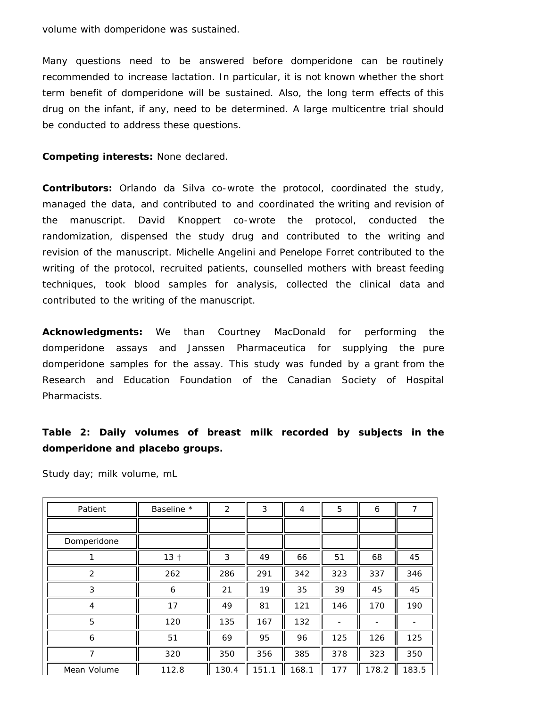volume with domperidone was sustained.

Many questions need to be answered before domperidone can be routinely recommended to increase lactation. In particular, it is not known whether the short term benefit of domperidone will be sustained. Also, the long term effects of this drug on the infant, if any, need to be determined. A large multicentre trial should be conducted to address these questions.

#### **Competing interests:** None declared.

**Contributors:** Orlando da Silva co-wrote the protocol, coordinated the study, managed the data, and contributed to and coordinated the writing and revision of the manuscript. David Knoppert co-wrote the protocol, conducted the randomization, dispensed the study drug and contributed to the writing and revision of the manuscript. Michelle Angelini and Penelope Forret contributed to the writing of the protocol, recruited patients, counselled mothers with breast feeding techniques, took blood samples for analysis, collected the clinical data and contributed to the writing of the manuscript.

**Acknowledgments:** We than Courtney MacDonald for performing the domperidone assays and Janssen Pharmaceutica for supplying the pure domperidone samples for the assay. This study was funded by a grant from the Research and Education Foundation of the Canadian Society of Hospital Pharmacists.

# **Table 2: Daily volumes of breast milk recorded by subjects in the domperidone and placebo groups.**

| Patient        | Baseline *      | 2     | 3     | 4     | 5   | 6     | 7     |
|----------------|-----------------|-------|-------|-------|-----|-------|-------|
|                |                 |       |       |       |     |       |       |
| Domperidone    |                 |       |       |       |     |       |       |
|                | 13 <sub>†</sub> | 3     | 49    | 66    | 51  | 68    | 45    |
| 2              | 262             | 286   | 291   | 342   | 323 | 337   | 346   |
| 3              | 6               | 21    | 19    | 35    | 39  | 45    | 45    |
| 4              | 17              | 49    | 81    | 121   | 146 | 170   | 190   |
| 5              | 120             | 135   | 167   | 132   |     |       |       |
| 6              | 51              | 69    | 95    | 96    | 125 | 126   | 125   |
| $\overline{7}$ | 320             | 350   | 356   | 385   | 378 | 323   | 350   |
| Mean Volume    | 112.8           | 130.4 | 151.1 | 168.1 | 177 | 178.2 | 183.5 |

Study day; milk volume, mL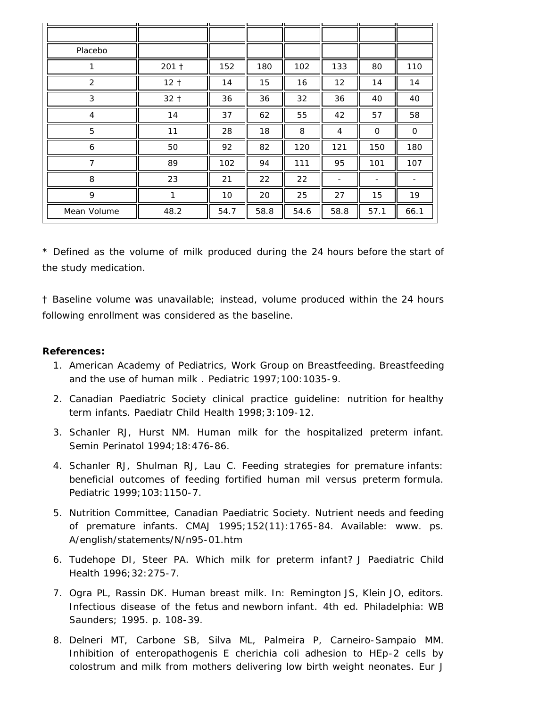|                |                 |      |      |      |                 | - 11 |      |
|----------------|-----------------|------|------|------|-----------------|------|------|
|                |                 |      |      |      |                 |      |      |
| Placebo        |                 |      |      |      |                 |      |      |
| 1              | 201 †           | 152  | 180  | 102  | 133             | 80   | 110  |
| $\overline{2}$ | 12 <sub>†</sub> | 14   | 15   | 16   | 12              | 14   | 14   |
| 3              | $32 +$          | 36   | 36   | 32   | 36              | 40   | 40   |
| 4              | 14              | 37   | 62   | 55   | 42              | 57   | 58   |
| 5              | 11              | 28   | 18   | 8    | 4               | 0    | 0    |
| 6              | 50              | 92   | 82   | 120  | 121             | 150  | 180  |
| $\overline{7}$ | 89              | 102  | 94   | 111  | 95              | 101  | 107  |
| 8              | 23              | 21   | 22   | 22   | $\qquad \qquad$ | -    |      |
| 9              | 1               | 10   | 20   | 25   | 27              | 15   | 19   |
| Mean Volume    | 48.2            | 54.7 | 58.8 | 54.6 | 58.8            | 57.1 | 66.1 |

\* Defined as the volume of milk produced during the 24 hours before the start of the study medication.

† Baseline volume was unavailable; instead, volume produced within the 24 hours following enrollment was considered as the baseline.

#### **References:**

- 1. American Academy of Pediatrics, Work Group on Breastfeeding. Breastfeeding and the use of human milk . *Pediatric* 1997;100:1035-9.
- 2. Canadian Paediatric Society clinical practice guideline: nutrition for healthy term infants. *Paediatr Child Health* 1998;3:109-12.
- 3. Schanler RJ, Hurst NM. Human milk for the hospitalized preterm infant. *Semin Perinatol* 1994;18:476-86.
- 4. Schanler RJ, Shulman RJ, Lau C. Feeding strategies for premature infants: beneficial outcomes of feeding fortified human mil versus preterm formula. *Pediatric* 1999;103:1150-7.
- 5. Nutrition Committee, Canadian Paediatric Society. Nutrient needs and feeding of premature infants. *CMAJ* 1995;152(11):1765-84. Available: www. ps. A/english/statements/N/n95-01.htm
- 6. Tudehope DI, Steer PA. Which milk for preterm infant? *J Paediatric Child Health* 1996;32:275-7.
- 7. Ogra PL, Rassin DK. Human breast milk. In: Remington JS, Klein JO, editors. *Infectious disease of the fetus and newborn infant*. 4th ed. Philadelphia: WB Saunders; 1995. p. 108-39.
- 8. Delneri MT, Carbone SB, Silva ML, Palmeira P, Carneiro-Sampaio MM. Inhibition of enteropathogenis *E cherichia coli* adhesion to HEp-2 cells by colostrum and milk from mothers delivering low birth weight neonates. *Eur J*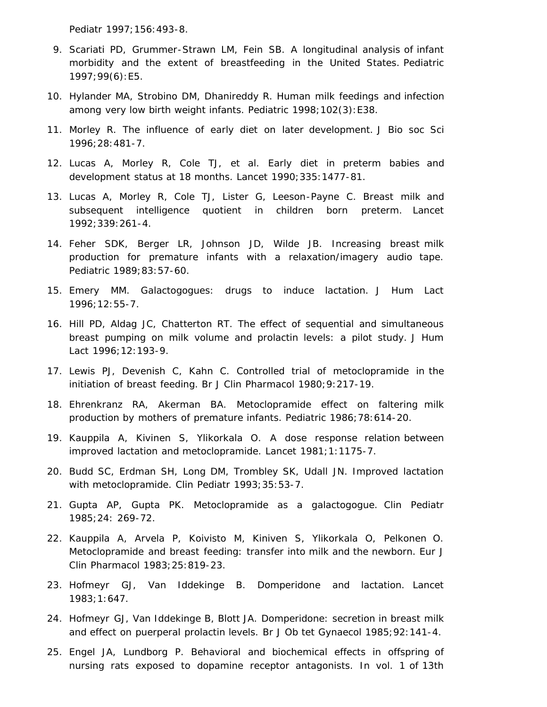*Pediatr* 1997;156:493-8.

- 9. Scariati PD, Grummer-Strawn LM, Fein SB. A longitudinal analysis of infant morbidity and the extent of breastfeeding in the United States. *Pediatric* 1997;99(6):E5.
- 10. Hylander MA, Strobino DM, Dhanireddy R. Human milk feedings and infection among very low birth weight infants. *Pediatric* 1998;102(3):E38.
- 11. Morley R. The influence of early diet on later development. *J Bio soc Sci* 1996;28:481-7.
- 12. Lucas A, Morley R, Cole TJ, et al. Early diet in preterm babies and development status at 18 months. *Lancet* 1990;335:1477-81.
- 13. Lucas A, Morley R, Cole TJ, Lister G, Leeson-Payne C. Breast milk and subsequent intelligence quotient in children born preterm. *Lancet* 1992;339:261-4.
- 14. Feher SDK, Berger LR, Johnson JD, Wilde JB. Increasing breast milk production for premature infants with a relaxation/imagery audio tape. *Pediatric* 1989;83:57-60.
- 15. Emery MM. Galactogogues: drugs to induce lactation. *J Hum Lact* 1996;12:55-7.
- 16. Hill PD, Aldag JC, Chatterton RT. The effect of sequential and simultaneous breast pumping on milk volume and prolactin levels: a pilot study. *J Hum Lact* 1996;12:193-9.
- 17. Lewis PJ, Devenish C, Kahn C. Controlled trial of metoclopramide in the initiation of breast feeding. *Br J Clin Pharmacol* 1980;9:217-19.
- 18. Ehrenkranz RA, Akerman BA. Metoclopramide effect on faltering milk production by mothers of premature infants. *Pediatric* 1986;78:614-20.
- 19. Kauppila A, Kivinen S, Ylikorkala O. A dose response relation between improved lactation and metoclopramide. *Lancet* 1981;1:1175-7.
- 20. Budd SC, Erdman SH, Long DM, Trombley SK, Udall JN. Improved lactation with metoclopramide. *Clin Pediatr* 1993;35:53-7.
- 21. Gupta AP, Gupta PK. Metoclopramide as a galactogogue. *Clin Pediatr* 1985;24: 269-72.
- 22. Kauppila A, Arvela P, Koivisto M, Kiniven S, Ylikorkala O, Pelkonen O. Metoclopramide and breast feeding: transfer into milk and the newborn. *Eur J Clin Pharmacol* 1983;25:819-23.
- 23. Hofmeyr GJ, Van Iddekinge B. Domperidone and lactation. *Lancet* 1983;1:647.
- 24. Hofmeyr GJ, Van Iddekinge B, Blott JA. Domperidone: secretion in breast milk and effect on puerperal prolactin levels. *Br J Ob tet Gynaecol* 1985;92:141-4.
- 25. Engel JA, Lundborg P. Behavioral and biochemical effects in offspring of nursing rats exposed to dopamine receptor antagonists. In vol. 1 of *13th*